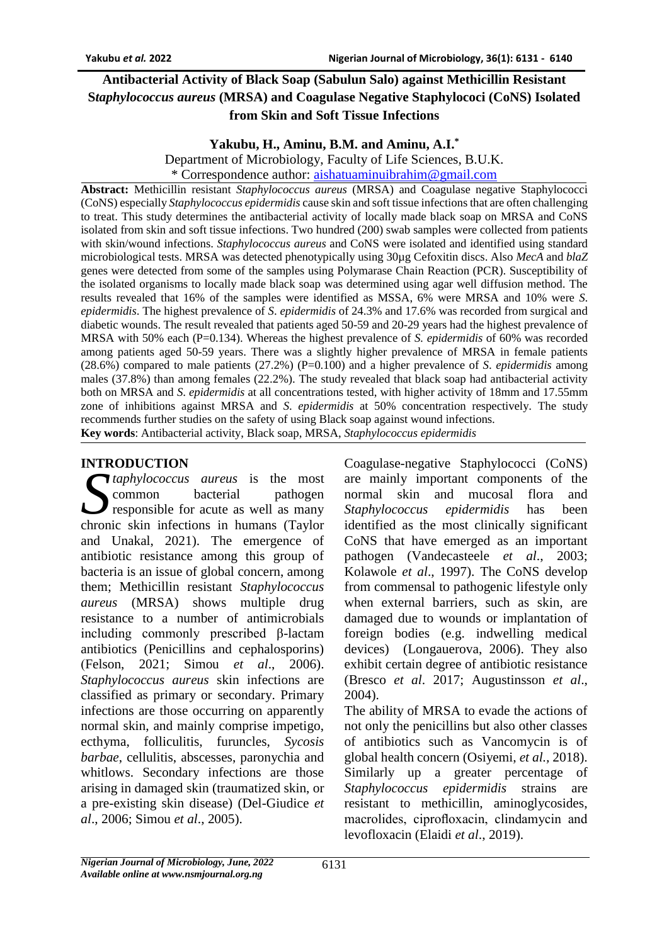# **Antibacterial Activity of Black Soap (Sabulun Salo) against Methicillin Resistant S***taphylococcus aureus* **(MRSA) and Coagulase Negative Staphylococi (CoNS) Isolated from Skin and Soft Tissue Infections**

#### **Yakubu, H., Aminu, B.M. and Aminu, A.I.\***

Department of Microbiology, Faculty of Life Sciences, B.U.K.

\* Correspondence author: [aishatuaminuibrahim@gmail.com](mailto:aishatuaminuibrahim@gmail.com)

**Abstract:** Methicillin resistant *Staphylococcus aureus* (MRSA) and Coagulase negative Staphylococci (CoNS) especially *Staphylococcus epidermidis* cause skin and soft tissue infections that are often challenging to treat. This study determines the antibacterial activity of locally made black soap on MRSA and CoNS isolated from skin and soft tissue infections. Two hundred (200) swab samples were collected from patients with skin/wound infections. *Staphylococcus aureus* and CoNS were isolated and identified using standard microbiological tests. MRSA was detected phenotypically using 30µg Cefoxitin discs. Also *MecA* and *blaZ* genes were detected from some of the samples using Polymarase Chain Reaction (PCR). Susceptibility of the isolated organisms to locally made black soap was determined using agar well diffusion method. The results revealed that 16% of the samples were identified as MSSA, 6% were MRSA and 10% were *S*. *epidermidis*. The highest prevalence of *S*. *epidermidis* of 24.3% and 17.6% was recorded from surgical and diabetic wounds. The result revealed that patients aged 50-59 and 20-29 years had the highest prevalence of MRSA with 50% each (P=0.134). Whereas the highest prevalence of *S. epidermidis* of 60% was recorded among patients aged 50-59 years. There was a slightly higher prevalence of MRSA in female patients (28.6%) compared to male patients (27.2%) (P=0.100) and a higher prevalence of *S*. *epidermidis* among males (37.8%) than among females (22.2%). The study revealed that black soap had antibacterial activity both on MRSA and *S*. *epidermidis* at all concentrations tested, with higher activity of 18mm and 17.55mm zone of inhibitions against MRSA and *S*. *epidermidis* at 50% concentration respectively. The study recommends further studies on the safety of using Black soap against wound infections. **Key words**: Antibacterial activity, Black soap, MRSA, *Staphylococcus epidermidis*

## **INTRODUCTION**

*taphylococcus aureus* is the most common bacterial pathogen responsible for acute as well as many **C**<br> *Chaphylococcus aureus* is the most<br>
common bacterial pathogen<br>
responsible for acute as well as many<br>
chronic skin infections in humans (Taylor and Unakal, 2021). The emergence of antibiotic resistance among this group of bacteria is an issue of global concern, among them; Methicillin resistant *Staphylococcus aureus* (MRSA) shows multiple drug resistance to a number of antimicrobials including commonly prescribed β-lactam antibiotics (Penicillins and cephalosporins) (Felson, 2021; Simou *et al*., 2006). *Staphylococcus aureus* skin infections are classified as primary or secondary. Primary infections are those occurring on apparently normal skin, and mainly comprise impetigo, ecthyma, folliculitis, furuncles, *Sycosis barbae*, cellulitis, abscesses, paronychia and whitlows. Secondary infections are those arising in damaged skin (traumatized skin, or a pre-existing skin disease) (Del-Giudice *et al*., 2006; Simou *et al*., 2005).

Coagulase-negative Staphylococci (CoNS) are mainly important components of the normal skin and mucosal flora and *Staphylococcus epidermidis* has been identified as the most clinically significant CoNS that have emerged as an important pathogen (Vandecasteele *et al*., 2003; Kolawole *et al*., 1997). The CoNS develop from commensal to pathogenic lifestyle only when external barriers, such as skin, are damaged due to wounds or implantation of foreign bodies (e.g. indwelling medical devices) (Longauerova, 2006). They also exhibit certain degree of antibiotic resistance (Bresco *et al*. 2017; Augustinsson *et al*., 2004).

The ability of MRSA to evade the actions of not only the penicillins but also other classes of antibiotics such as Vancomycin is of global health concern (Osiyemi, *et al.,* 2018). Similarly up a greater percentage of *Staphylococcus epidermidis* strains are resistant to methicillin, aminoglycosides, macrolides, ciprofloxacin, clindamycin and levofloxacin (Elaidi *et al*., 2019).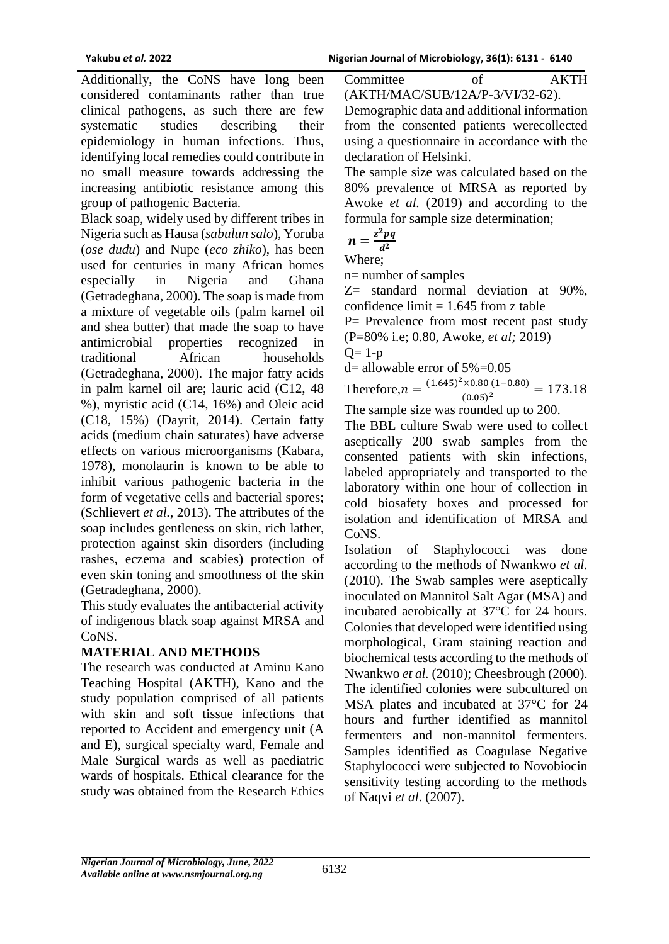Additionally, the CoNS have long been considered contaminants rather than true clinical pathogens, as such there are few systematic studies describing their epidemiology in human infections. Thus, identifying local remedies could contribute in no small measure towards addressing the increasing antibiotic resistance among this group of pathogenic Bacteria.

Black soap, widely used by different tribes in Nigeria such as Hausa (*sabulun salo*), Yoruba (*ose dudu*) and Nupe (*eco zhiko*), has been used for centuries in many African homes especially in Nigeria and Ghana (Getradeghana, 2000). The soap is made from a mixture of vegetable oils (palm karnel oil and shea butter) that made the soap to have antimicrobial properties recognized traditional African households (Getradeghana, 2000). The major fatty acids in palm karnel oil are; lauric acid (C12, 48 %), myristic acid (C14, 16%) and Oleic acid (C18, 15%) (Dayrit, 2014). Certain fatty acids (medium chain saturates) have adverse effects on various microorganisms (Kabara, 1978), monolaurin is known to be able to inhibit various pathogenic bacteria in the form of vegetative cells and bacterial spores; (Schlievert *et al.,* 2013). The attributes of the soap includes gentleness on skin, rich lather, protection against skin disorders (including rashes, eczema and scabies) protection of even skin toning and smoothness of the skin (Getradeghana, 2000).

This study evaluates the antibacterial activity of indigenous black soap against MRSA and CoNS.

## **MATERIAL AND METHODS**

The research was conducted at Aminu Kano Teaching Hospital (AKTH), Kano and the study population comprised of all patients with skin and soft tissue infections that reported to Accident and emergency unit (A and E), surgical specialty ward, Female and Male Surgical wards as well as paediatric wards of hospitals. Ethical clearance for the study was obtained from the Research Ethics

Committee of AKTH (AKTH/MAC/SUB/12A/P-3/VI/32-62).

Demographic data and additional information from the consented patients werecollected using a questionnaire in accordance with the declaration of Helsinki.

The sample size was calculated based on the 80% prevalence of MRSA as reported by Awoke *et al.* (2019) and according to the formula for sample size determination;

$$
n=\frac{z^2pq}{d^2}
$$

Where;

n= number of samples

Z= standard normal deviation at 90%, confidence limit  $= 1.645$  from z table

P= Prevalence from most recent past study

(P=80% i.e; 0.80, Awoke, *et al;* 2019)

 $Q=1-p$ 

 $d=$  allowable error of  $5\%$  = 0.05

Therefore,  $n = \frac{(1.645)^2 \times 0.80 (1 - 0.80)}{(0.05)^2} = 173.18$  $(0.05)^2$ The sample size was rounded up to 200.

The BBL culture Swab were used to collect aseptically 200 swab samples from the consented patients with skin infections, labeled appropriately and transported to the laboratory within one hour of collection in cold biosafety boxes and processed for isolation and identification of MRSA and CoNS.

Isolation of Staphylococci was done according to the methods of Nwankwo *et al.*  (2010). The Swab samples were aseptically inoculated on Mannitol Salt Agar (MSA) and incubated aerobically at 37°C for 24 hours. Colonies that developed were identified using morphological, Gram staining reaction and biochemical tests according to the methods of Nwankwo *et al.* (2010); Cheesbrough (2000). The identified colonies were subcultured on MSA plates and incubated at 37°C for 24 hours and further identified as mannitol fermenters and non-mannitol fermenters. Samples identified as Coagulase Negative Staphylococci were subjected to Novobiocin sensitivity testing according to the methods of Naqvi *et al*. (2007).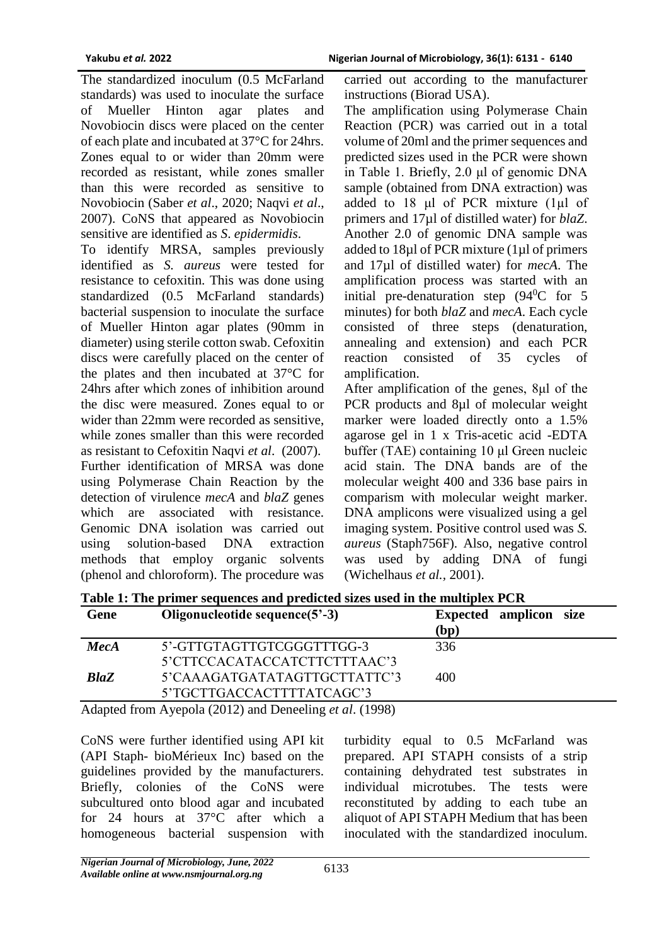The standardized inoculum (0.5 McFarland standards) was used to inoculate the surface of Mueller Hinton agar plates and Novobiocin discs were placed on the center of each plate and incubated at 37°C for 24hrs. Zones equal to or wider than 20mm were recorded as resistant, while zones smaller than this were recorded as sensitive to Novobiocin (Saber *et al*., 2020; Naqvi *et al*., 2007). CoNS that appeared as Novobiocin sensitive are identified as *S*. *epidermidis*.

To identify MRSA, samples previously identified as *S. aureus* were tested for resistance to cefoxitin. This was done using standardized (0.5 McFarland standards) bacterial suspension to inoculate the surface of Mueller Hinton agar plates (90mm in diameter) using sterile cotton swab. Cefoxitin discs were carefully placed on the center of the plates and then incubated at 37°C for 24hrs after which zones of inhibition around the disc were measured. Zones equal to or wider than 22mm were recorded as sensitive, while zones smaller than this were recorded as resistant to Cefoxitin Naqvi *et al*. (2007). Further identification of MRSA was done using Polymerase Chain Reaction by the detection of virulence *mecA* and *blaZ* genes which are associated with resistance. Genomic DNA isolation was carried out using solution-based DNA extraction methods that employ organic solvents (phenol and chloroform). The procedure was

carried out according to the manufacturer instructions (Biorad USA).

The amplification using Polymerase Chain Reaction (PCR) was carried out in a total volume of 20ml and the primer sequences and predicted sizes used in the PCR were shown in Table 1. Briefly, 2.0 μl of genomic DNA sample (obtained from DNA extraction) was added to 18 μl of PCR mixture (1µl of primers and 17µl of distilled water) for *blaZ*. Another 2.0 of genomic DNA sample was added to 18µl of PCR mixture (1µl of primers and 17µl of distilled water) for *mecA*. The amplification process was started with an initial pre-denaturation step  $(94^{\circ}$ C for 5 minutes) for both *blaZ* and *mecA*. Each cycle consisted of three steps (denaturation, annealing and extension) and each PCR reaction consisted of 35 cycles of amplification.

After amplification of the genes, 8μl of the PCR products and 8µl of molecular weight marker were loaded directly onto a 1.5% agarose gel in 1 x Tris-acetic acid -EDTA buffer (TAE) containing 10 μl Green nucleic acid stain. The DNA bands are of the molecular weight 400 and 336 base pairs in comparism with molecular weight marker. DNA amplicons were visualized using a gel imaging system. Positive control used was *S. aureus* (Staph756F). Also, negative control was used by adding DNA of fungi (Wichelhaus *et al.,* 2001).

| (bp)                                |
|-------------------------------------|
| 336                                 |
|                                     |
| 5'CAAAGATGATATAGTTGCTTATTC'3<br>400 |
|                                     |
|                                     |

**Table 1: The primer sequences and predicted sizes used in the multiplex PCR**

Adapted from Ayepola (2012) and Deneeling *et al*. (1998)

CoNS were further identified using API kit (API Staph- bioMérieux Inc) based on the guidelines provided by the manufacturers. Briefly, colonies of the CoNS were subcultured onto blood agar and incubated for 24 hours at 37°C after which a homogeneous bacterial suspension with

turbidity equal to 0.5 McFarland was prepared. API STAPH consists of a strip containing dehydrated test substrates in individual microtubes. The tests were reconstituted by adding to each tube an aliquot of API STAPH Medium that has been inoculated with the standardized inoculum.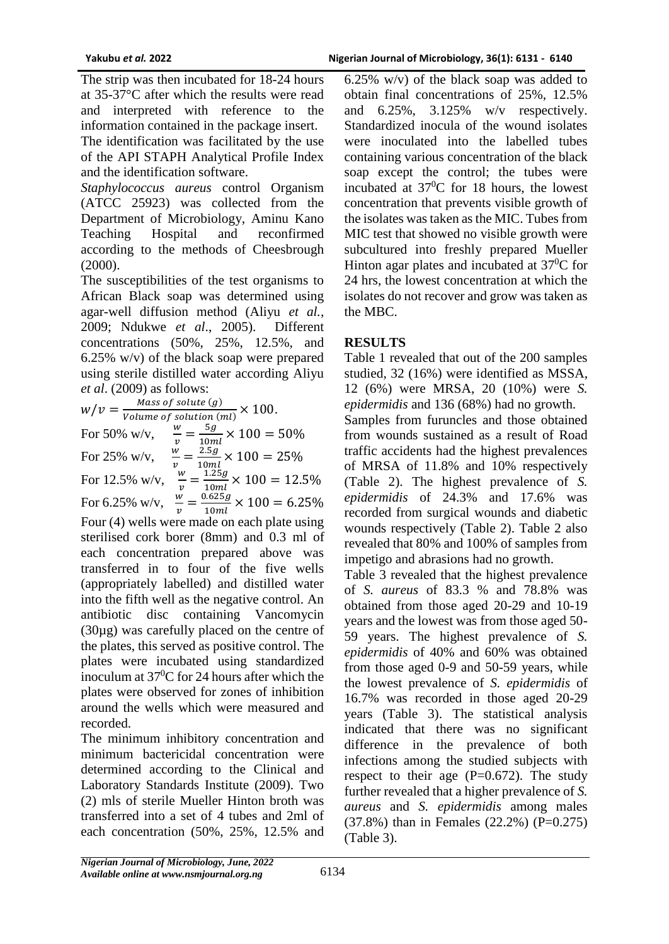The strip was then incubated for 18-24 hours at 35-37°C after which the results were read and interpreted with reference to the information contained in the package insert.

The identification was facilitated by the use of the API STAPH Analytical Profile Index and the identification software.

*Staphylococcus aureus* control Organism (ATCC 25923) was collected from the Department of Microbiology, Aminu Kano Teaching Hospital and reconfirmed according to the methods of Cheesbrough (2000).

The susceptibilities of the test organisms to African Black soap was determined using agar-well diffusion method (Aliyu *et al.,* 2009; Ndukwe *et al*., 2005). Different concentrations (50%, 25%, 12.5%, and 6.25% w/v) of the black soap were prepared using sterile distilled water according Aliyu *et al*. (2009) as follows:

 $W/v = \frac{Mass\ of\ solute(g)}{Volume\ of\ colution(g)}$  $\frac{m_{\text{u}}}{\text{Volume of solution (ml)}} \times 100.$ For 50% w/v,  $\frac{w}{v} = \frac{5g}{10m}$  $\frac{3g}{10ml} \times 100 = 50\%$ For 25% w/v,  $\frac{w}{w}$  $\frac{w}{v} = \frac{2.5g}{10m}$  $\frac{2.59}{10ml} \times 100 = 25\%$ For 12.5% w/v,  $\frac{w}{v} = \frac{1.25g}{10ml}$  $\frac{1.259}{10ml} \times 100 = 12.5\%$ For 6.25% w/v,  $\frac{w}{v} = \frac{0.625g}{10ml}$  $\frac{10259}{10ml} \times 100 = 6.25\%$ Four (4) wells were made on each plate using sterilised cork borer (8mm) and 0.3 ml of each concentration prepared above was transferred in to four of the five wells (appropriately labelled) and distilled water into the fifth well as the negative control. An antibiotic disc containing Vancomycin (30µg) was carefully placed on the centre of the plates, this served as positive control. The plates were incubated using standardized inoculum at  $37^{\circ}$ C for 24 hours after which the plates were observed for zones of inhibition around the wells which were measured and recorded.

The minimum inhibitory concentration and minimum bactericidal concentration were determined according to the Clinical and Laboratory Standards Institute (2009). Two (2) mls of sterile Mueller Hinton broth was transferred into a set of 4 tubes and 2ml of each concentration (50%, 25%, 12.5% and

6.25% w/v) of the black soap was added to obtain final concentrations of 25%, 12.5% and 6.25%, 3.125% w/v respectively. Standardized inocula of the wound isolates were inoculated into the labelled tubes containing various concentration of the black soap except the control; the tubes were incubated at  $37^{\circ}$ C for 18 hours, the lowest concentration that prevents visible growth of the isolates was taken as the MIC. Tubes from MIC test that showed no visible growth were subcultured into freshly prepared Mueller Hinton agar plates and incubated at  $37^0C$  for 24 hrs, the lowest concentration at which the isolates do not recover and grow was taken as the MBC.

## **RESULTS**

Table 1 revealed that out of the 200 samples studied, 32 (16%) were identified as MSSA, 12 (6%) were MRSA, 20 (10%) were *S. epidermidis* and 136 (68%) had no growth. Samples from furuncles and those obtained

from wounds sustained as a result of Road traffic accidents had the highest prevalences of MRSA of 11.8% and 10% respectively (Table 2). The highest prevalence of *S. epidermidis* of 24.3% and 17.6% was recorded from surgical wounds and diabetic wounds respectively (Table 2). Table 2 also revealed that 80% and 100% of samples from impetigo and abrasions had no growth.

Table 3 revealed that the highest prevalence of *S. aureus* of 83.3 % and 78.8% was obtained from those aged 20-29 and 10-19 years and the lowest was from those aged 50- 59 years. The highest prevalence of *S. epidermidis* of 40% and 60% was obtained from those aged 0-9 and 50-59 years, while the lowest prevalence of *S. epidermidis* of 16.7% was recorded in those aged 20-29 years (Table 3). The statistical analysis indicated that there was no significant difference in the prevalence of both infections among the studied subjects with respect to their age  $(P=0.672)$ . The study further revealed that a higher prevalence of *S. aureus* and *S. epidermidis* among males (37.8%) than in Females (22.2%) (P=0.275) (Table 3).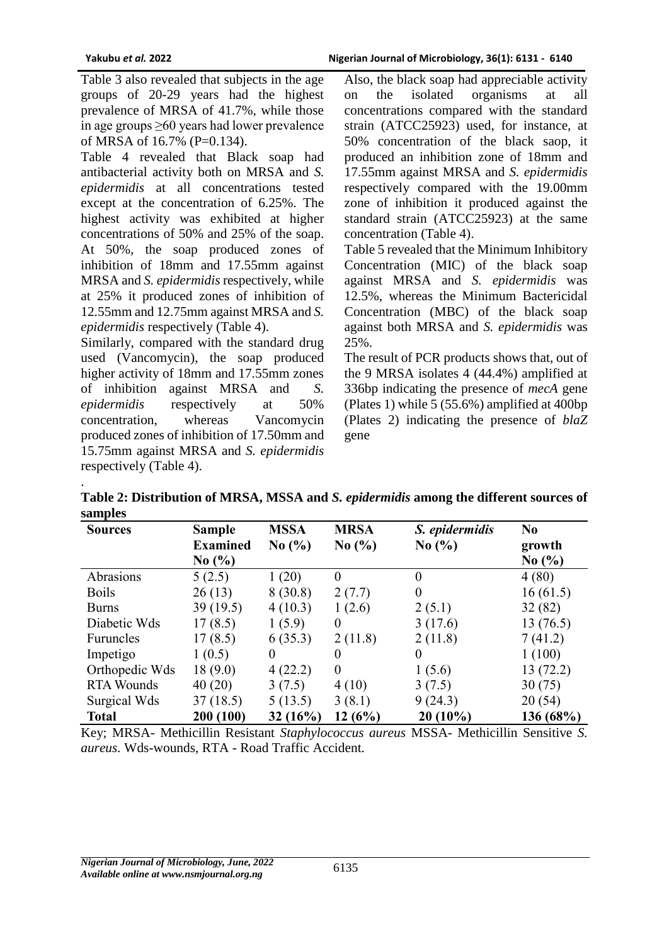.

Table 3 also revealed that subjects in the age groups of 20-29 years had the highest prevalence of MRSA of 41.7%, while those in age groups ≥60 years had lower prevalence of MRSA of 16.7% (P=0.134).

Table 4 revealed that Black soap had antibacterial activity both on MRSA and *S. epidermidis* at all concentrations tested except at the concentration of 6.25%. The highest activity was exhibited at higher concentrations of 50% and 25% of the soap. At 50%, the soap produced zones of inhibition of 18mm and 17.55mm against MRSA and *S. epidermidis* respectively, while at 25% it produced zones of inhibition of 12.55mm and 12.75mm against MRSA and *S. epidermidis* respectively (Table 4).

Similarly, compared with the standard drug used (Vancomycin), the soap produced higher activity of 18mm and 17.55mm zones of inhibition against MRSA and *S. epidermidis* respectively at 50% concentration, whereas Vancomycin produced zones of inhibition of 17.50mm and 15.75mm against MRSA and *S. epidermidis*  respectively (Table 4).

Also, the black soap had appreciable activity on the isolated organisms at all concentrations compared with the standard strain (ATCC25923) used, for instance, at 50% concentration of the black saop, it produced an inhibition zone of 18mm and 17.55mm against MRSA and *S. epidermidis*  respectively compared with the 19.00mm zone of inhibition it produced against the standard strain (ATCC25923) at the same concentration (Table 4).

Table 5 revealed that the Minimum Inhibitory Concentration (MIC) of the black soap against MRSA and *S. epidermidis* was 12.5%, whereas the Minimum Bactericidal Concentration (MBC) of the black soap against both MRSA and *S. epidermidis* was 25%.

The result of PCR products shows that, out of the 9 MRSA isolates 4 (44.4%) amplified at 336bp indicating the presence of *mecA* gene (Plates 1) while 5 (55.6%) amplified at 400bp (Plates 2) indicating the presence of *blaZ* gene

**Table 2: Distribution of MRSA, MSSA and** *S. epidermidis* **among the different sources of samples**

| <b>Sources</b>    | <b>Sample</b>                 | <b>MSSA</b> | <b>MRSA</b>                   | S. epidermidis                | N <sub>0</sub> |
|-------------------|-------------------------------|-------------|-------------------------------|-------------------------------|----------------|
|                   | <b>Examined</b>               | No(%)       | No $\left(\frac{0}{0}\right)$ | No $\left(\frac{9}{6}\right)$ | growth         |
|                   | No $\left(\frac{9}{6}\right)$ |             |                               |                               | No(%)          |
| Abrasions         | 5(2.5)                        | 1(20)       | $\theta$                      | $\theta$                      | 4(80)          |
| <b>Boils</b>      | 26(13)                        | 8(30.8)     | 2(7.7)                        | $\theta$                      | 16(61.5)       |
| <b>Burns</b>      | 39(19.5)                      | 4(10.3)     | 1(2.6)                        | 2(5.1)                        | 32(82)         |
| Diabetic Wds      | 17(8.5)                       | 1(5.9)      | $\Omega$                      | 3(17.6)                       | 13(76.5)       |
| <b>Furuncles</b>  | 17(8.5)                       | 6(35.3)     | 2(11.8)                       | 2(11.8)                       | 7(41.2)        |
| Impetigo          | 1(0.5)                        | $\Omega$    | $\Omega$                      | $\Omega$                      | 1(100)         |
| Orthopedic Wds    | 18(9.0)                       | 4(22.2)     | $\theta$                      | 1(5.6)                        | 13(72.2)       |
| <b>RTA Wounds</b> | 40(20)                        | 3(7.5)      | 4(10)                         | 3(7.5)                        | 30(75)         |
| Surgical Wds      | 37(18.5)                      | 5(13.5)     | 3(8.1)                        | 9(24.3)                       | 20(54)         |
| <b>Total</b>      | 200 (100)                     | 32(16%)     | 12(6%)                        | $20(10\%)$                    | 136(68%)       |

Key; MRSA- Methicillin Resistant *Staphylococcus aureus* MSSA- Methicillin Sensitive *S. aureus.* Wds-wounds, RTA - Road Traffic Accident.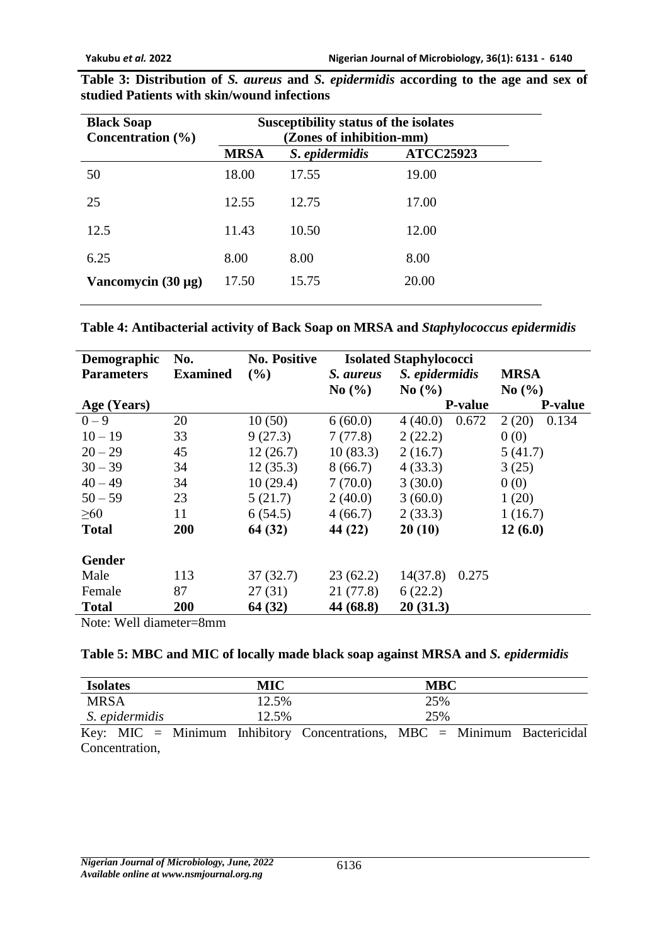| <b>Black Soap</b>       | Susceptibility status of the isolates             |       |       |  |  |  |
|-------------------------|---------------------------------------------------|-------|-------|--|--|--|
| Concentration $(\% )$   | (Zones of inhibition-mm)                          |       |       |  |  |  |
|                         | <b>ATCC25923</b><br><b>MRSA</b><br>S. epidermidis |       |       |  |  |  |
| 50                      | 18.00                                             | 17.55 | 19.00 |  |  |  |
| 25                      | 12.55                                             | 12.75 | 17.00 |  |  |  |
| 12.5                    | 11.43                                             | 10.50 | 12.00 |  |  |  |
| 6.25                    | 8.00                                              | 8.00  | 8.00  |  |  |  |
| Vancomycin $(30 \mu g)$ | 17.50                                             | 15.75 | 20.00 |  |  |  |
|                         |                                                   |       |       |  |  |  |

**Table 3: Distribution of** *S. aureus* **and** *S. epidermidis* **according to the age and sex of studied Patients with skin/wound infections**

| Table 4: Antibacterial activity of Back Soap on MRSA and Staphylococcus epidermidis |
|-------------------------------------------------------------------------------------|
|-------------------------------------------------------------------------------------|

| Demographic                                                  | No.             | <b>No. Positive</b> | <b>Isolated Staphylococci</b> |                               |                |  |
|--------------------------------------------------------------|-----------------|---------------------|-------------------------------|-------------------------------|----------------|--|
| <b>Parameters</b>                                            | <b>Examined</b> | $($ %)              | S. aureus                     | S. epidermidis                | <b>MRSA</b>    |  |
|                                                              |                 |                     | $\mathrm{No}$ (%)             | No $\left(\frac{9}{6}\right)$ | No(%)          |  |
| Age (Years)                                                  |                 |                     |                               | <b>P-value</b>                | <b>P-value</b> |  |
| $0 - 9$                                                      | 20              | 10(50)              | 6(60.0)                       | 0.672<br>4(40.0)              | 2(20)<br>0.134 |  |
| $10 - 19$                                                    | 33              | 9(27.3)             | 7(77.8)                       | 2(22.2)                       | 0(0)           |  |
| $20 - 29$                                                    | 45              | 12(26.7)            | 10(83.3)                      | 2(16.7)                       | 5(41.7)        |  |
| $30 - 39$                                                    | 34              | 12(35.3)            | 8(66.7)                       | 4(33.3)                       | 3(25)          |  |
| $40 - 49$                                                    | 34              | 10(29.4)            | 7(70.0)                       | 3(30.0)                       | 0(0)           |  |
| $50 - 59$                                                    | 23              | 5(21.7)             | 2(40.0)                       | 3(60.0)                       | 1(20)          |  |
| $\geq 60$                                                    | 11              | 6(54.5)             | 4(66.7)                       | 2(33.3)                       | 1(16.7)        |  |
| <b>Total</b>                                                 | 200             | 64 (32)             | 44 (22)                       | 20(10)                        | 12(6.0)        |  |
| <b>Gender</b>                                                |                 |                     |                               |                               |                |  |
| Male                                                         | 113             | 37(32.7)            | 23(62.2)                      | 14(37.8)<br>0.275             |                |  |
| Female                                                       | 87              | 27(31)              | 21 (77.8)                     | 6(22.2)                       |                |  |
| <b>Total</b>                                                 | 200             | 64 (32)             | 44 (68.8)                     | 20(31.3)                      |                |  |
| $N_{\alpha\uparrow\alpha}$ , $N_{\alpha}$ ll diamatan $0$ mm |                 |                     |                               |                               |                |  |

Note: Well diameter=8mm

| <b>Isolates</b> | <b>MIC</b> |                                                                          | <b>MBC</b> |  |
|-----------------|------------|--------------------------------------------------------------------------|------------|--|
| <b>MRSA</b>     | 12.5%      |                                                                          | 25%        |  |
| S. epidermidis  | 12.5%      |                                                                          | 25%        |  |
|                 |            | Key: MIC = Minimum Inhibitory Concentrations, MBC = Minimum Bactericidal |            |  |
| Concentration,  |            |                                                                          |            |  |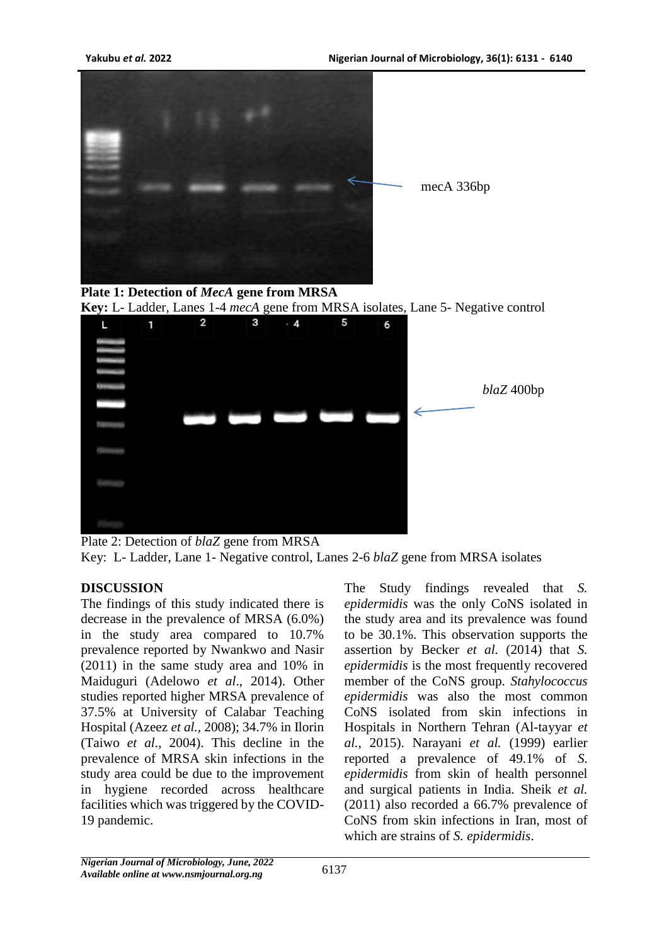







Plate 2: Detection of *blaZ* gene from MRSA Key: L- Ladder, Lane 1- Negative control, Lanes 2-6 *blaZ* gene from MRSA isolates

## **DISCUSSION**

The findings of this study indicated there is decrease in the prevalence of MRSA (6.0%) in the study area compared to 10.7% prevalence reported by Nwankwo and Nasir (2011) in the same study area and 10% in Maiduguri (Adelowo *et al*., 2014). Other studies reported higher MRSA prevalence of 37.5% at University of Calabar Teaching Hospital (Azeez *et al.,* 2008); 34.7% in Ilorin (Taiwo *et al*., 2004). This decline in the prevalence of MRSA skin infections in the study area could be due to the improvement in hygiene recorded across healthcare facilities which was triggered by the COVID-19 pandemic.

The Study findings revealed that *S. epidermidis* was the only CoNS isolated in the study area and its prevalence was found to be 30.1%. This observation supports the assertion by Becker *et al.* (2014) that *S. epidermidis* is the most frequently recovered member of the CoNS group. *Stahylococcus epidermidis* was also the most common CoNS isolated from skin infections in Hospitals in Northern Tehran (Al-tayyar *et al.,* 2015). Narayani *et al.* (1999) earlier reported a prevalence of 49.1% of *S. epidermidis* from skin of health personnel and surgical patients in India*.* Sheik *et al.*  (2011) also recorded a 66.7% prevalence of CoNS from skin infections in Iran, most of which are strains of *S. epidermidis*.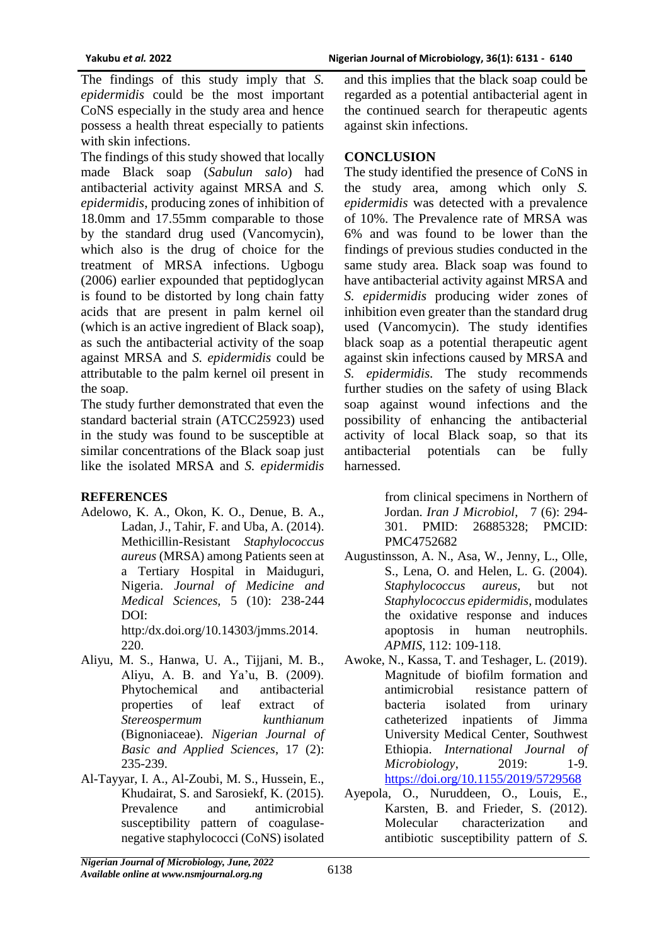The findings of this study imply that *S. epidermidis* could be the most important CoNS especially in the study area and hence possess a health threat especially to patients with skin infections.

The findings of this study showed that locally made Black soap (*Sabulun salo*) had antibacterial activity against MRSA and *S. epidermidis*, producing zones of inhibition of 18.0mm and 17.55mm comparable to those by the standard drug used (Vancomycin), which also is the drug of choice for the treatment of MRSA infections. Ugbogu (2006) earlier expounded that peptidoglycan is found to be distorted by long chain fatty acids that are present in palm kernel oil (which is an active ingredient of Black soap), as such the antibacterial activity of the soap against MRSA and *S. epidermidis* could be attributable to the palm kernel oil present in the soap.

The study further demonstrated that even the standard bacterial strain (ATCC25923) used in the study was found to be susceptible at similar concentrations of the Black soap just like the isolated MRSA and *S. epidermidis*

#### **REFERENCES**

Adelowo, K. A., Okon, K. O., Denue, B. A., Ladan, J., Tahir, F. and Uba, A. (2014). Methicillin-Resistant *Staphylococcus aureus* (MRSA) among Patients seen at a Tertiary Hospital in Maiduguri, Nigeria. *Journal of Medicine and Medical Sciences,* 5 (10): 238-244 DOI:

http:/dx.doi.org/10.14303/jmms.2014. 220.

- Aliyu, M. S., Hanwa, U. A., Tijjani, M. B., Aliyu, A. B. and Ya'u, B. (2009). Phytochemical and antibacterial properties of leaf extract of *Stereospermum kunthianum* (Bignoniaceae). *Nigerian Journal of Basic and Applied Sciences*, 17 (2): 235-239.
- Al-Tayyar, I. A., Al-Zoubi, M. S., Hussein, E., Khudairat, S. and Sarosiekf, K. (2015). Prevalence and antimicrobial susceptibility pattern of coagulasenegative staphylococci (CoNS) isolated

and this implies that the black soap could be regarded as a potential antibacterial agent in the continued search for therapeutic agents against skin infections.

## **CONCLUSION**

The study identified the presence of CoNS in the study area, among which only *S. epidermidis* was detected with a prevalence of 10%. The Prevalence rate of MRSA was 6% and was found to be lower than the findings of previous studies conducted in the same study area. Black soap was found to have antibacterial activity against MRSA and *S. epidermidis* producing wider zones of inhibition even greater than the standard drug used (Vancomycin). The study identifies black soap as a potential therapeutic agent against skin infections caused by MRSA and *S. epidermidis.* The study recommends further studies on the safety of using Black soap against wound infections and the possibility of enhancing the antibacterial activity of local Black soap, so that its antibacterial potentials can be fully harnessed.

> from clinical specimens in Northern of Jordan. *Iran J Microbiol*, 7 (6): 294- 301. PMID: 26885328; PMCID: PMC4752682

- Augustinsson, A. N., Asa, W., Jenny, L., Olle, S., Lena, O. and Helen, L. G. (2004). *Staphylococcus aureus*, but not *Staphylococcus epidermidis*, modulates the oxidative response and induces apoptosis in human neutrophils. *APMIS*, 112: 109-118.
- Awoke, N., Kassa, T. and Teshager, L. (2019). Magnitude of biofilm formation and antimicrobial resistance pattern of bacteria isolated from urinary catheterized inpatients of Jimma University Medical Center, Southwest Ethiopia. *International Journal of Microbiology*, 2019: 1-9. <https://doi.org/10.1155/2019/5729568>
- Ayepola, O., Nuruddeen, O., Louis, E., Karsten, B. and Frieder, S. (2012). Molecular characterization and antibiotic susceptibility pattern of *S.*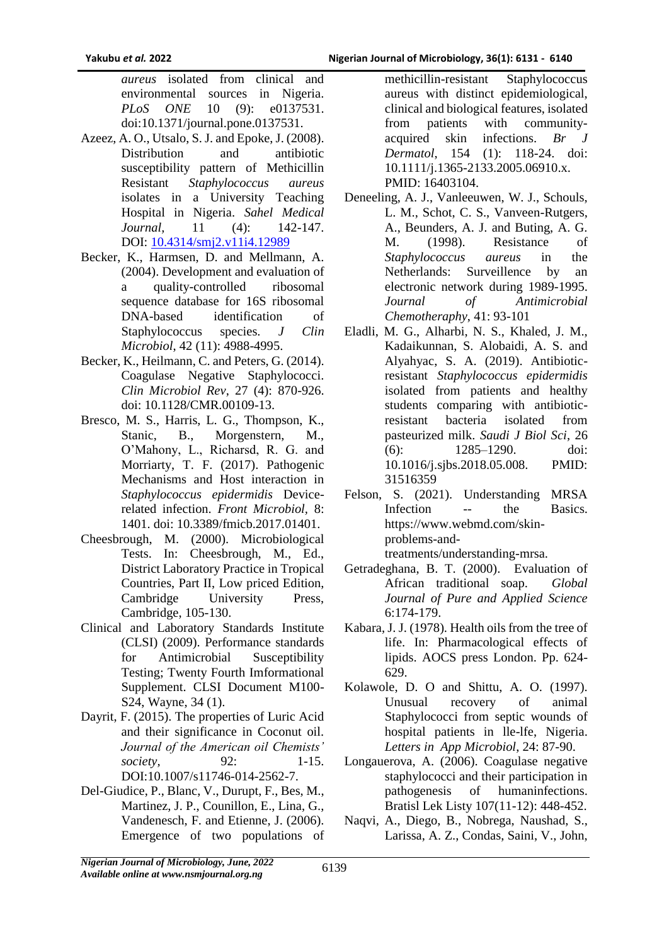*aureus* isolated from clinical and environmental sources in Nigeria.<br>*PLoS ONE* 10 (9): e0137531. *PLoS ONE* 10 (9): e0137531. doi:10.1371/journal.pone.0137531.

- Azeez, A. O., Utsalo, S. J. and Epoke, J. (2008). Distribution and antibiotic susceptibility pattern of Methicillin Resistant *Staphylococcus aureus* isolates in a University Teaching Hospital in Nigeria. *Sahel Medical Journal*, 11 (4): 142-147. DOI: [10.4314/smj2.v11i4.12989](https://doi.org/10.4314/smj2.v11i4.12989)
- Becker, K., Harmsen, D. and Mellmann, A. (2004). Development and evaluation of a quality-controlled ribosomal sequence database for 16S ribosomal DNA-based identification of Staphylococcus species. *J Clin Microbiol*, 42 (11): 4988-4995.
- Becker, K., Heilmann, C. and Peters, G. (2014). Coagulase Negative Staphylococci. *Clin Microbiol Rev*, 27 (4): 870-926. doi: 10.1128/CMR.00109-13.
- Bresco, M. S., Harris, L. G., Thompson, K., Stanic, B., Morgenstern, M., O'Mahony, L., Richarsd, R. G. and Morriarty, T. F. (2017). Pathogenic Mechanisms and Host interaction in *Staphylococcus epidermidis* Devicerelated infection. *Front Microbiol,* 8: 1401. doi: 10.3389/fmicb.2017.01401.
- Cheesbrough, M. (2000). Microbiological Tests. In: Cheesbrough, M., Ed., District Laboratory Practice in Tropical Countries, Part II, Low priced Edition, Cambridge University Press, Cambridge, 105-130.
- Clinical and Laboratory Standards Institute (CLSI) (2009). Performance standards for Antimicrobial Susceptibility Testing; Twenty Fourth Imformational Supplement. CLSI Document M100- S24, Wayne, 34 (1).
- Dayrit, F. (2015). The properties of Luric Acid and their significance in Coconut oil. *Journal of the American oil Chemists' society.* 92: 1-15. DOI:10.1007/s11746-014-2562-7.
- Del-Giudice, P., Blanc, V., Durupt, F., Bes, M., Martinez, J. P., Counillon, E., Lina, G., Vandenesch, F. and Etienne, J. (2006). Emergence of two populations of

methicillin-resistant Staphylococcus aureus with distinct epidemiological, clinical and biological features, isolated from patients with communityacquired skin infections. *Br Dermatol*, 154 (1): 118-24. doi: 10.1111/j.1365-2133.2005.06910.x. PMID: 16403104.

- Deneeling, A. J., Vanleeuwen, W. J., Schouls, L. M., Schot, C. S., Vanveen-Rutgers, A., Beunders, A. J. and Buting, A. G. M. (1998). Resistance of *Staphylococcus aureus* in the Netherlands: Surveillence by an electronic network during 1989-1995. *Journal of Antimicrobial Chemotheraphy*, 41: 93-101
- Eladli, M. G., Alharbi, N. S., Khaled, J. M., Kadaikunnan, S. Alobaidi, A. S. and Alyahyac, S. A. (2019). Antibioticresistant *Staphylococcus epidermidis* isolated from patients and healthy students comparing with antibioticresistant bacteria isolated from pasteurized milk. *Saudi J Biol Sci*, 26 (6): 1285–1290. doi: 10.1016/j.sjbs.2018.05.008. PMID: 31516359
- Felson, S. (2021). Understanding MRSA Infection -- the Basics. https://www.webmd.com/skinproblems-andtreatments/understanding-mrsa.
- Getradeghana, B. T. (2000). Evaluation of African traditional soap. *Global Journal of Pure and Applied Science* 6:174-179.
- Kabara, J. J. (1978). Health oils from the tree of life. In: Pharmacological effects of lipids. AOCS press London. Pp. 624- 629.
- Kolawole, D. O and Shittu, A. O. (1997). Unusual recovery of animal Staphylococci from septic wounds of hospital patients in lle-lfe, Nigeria. *Letters in App Microbiol*, 24: 87-90.
- Longauerova, A. (2006). Coagulase negative staphylococci and their participation in pathogenesis of humaninfections. Bratisl Lek Listy 107(11-12): 448-452.
- Naqvi, A., Diego, B., Nobrega, Naushad, S., Larissa, A. Z., Condas, Saini, V., John,